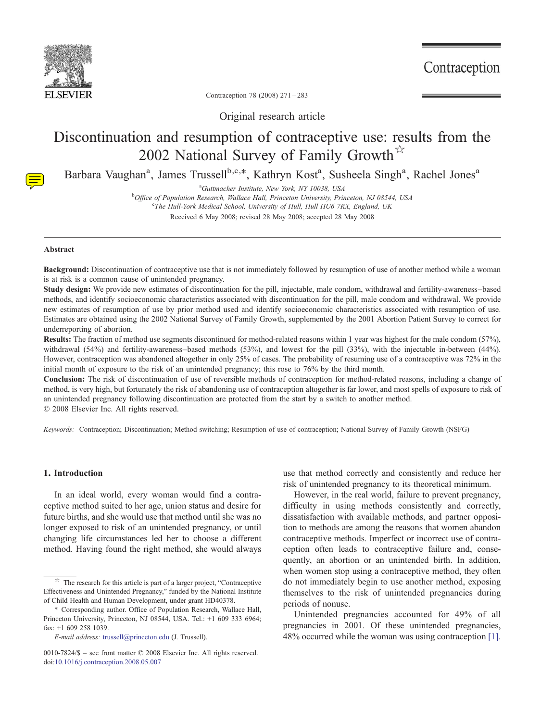

Contraception

Contraception 78 (2008) 271–283

Original research article

# Discontinuation and resumption of contraceptive use: results from the 2002 National Survey of Family Growth<sup>☆</sup>

Barbara Vaughan<sup>a</sup>, James Trussell<sup>b,c,\*</sup>, Kathryn Kost<sup>a</sup>, Susheela Singh<sup>a</sup>, Rachel Jones<sup>a</sup>

<sup>a</sup>Guttmacher Institute, New York, NY 10038, USA <sup>a</sup>Guttmacher Institute, New York, NY 10038, USA<br><sup>b</sup>Office of Population Baseavely, Wallace Hall, Princeton University, Prin

Office of Population Research, Wallace Hall, Princeton University, Princeton, NJ 08544, USA<br><sup>C</sup>The Hull Vork Medical School, University of Hull, Hull HUG 7PV, England, UK

<sup>c</sup>The Hull-York Medical School, University of Hull, Hull HU6 7RX, England, UK

Received 6 May 2008; revised 28 May 2008; accepted 28 May 2008

# Abstract

Background: Discontinuation of contraceptive use that is not immediately followed by resumption of use of another method while a woman is at risk is a common cause of unintended pregnancy.

Study design: We provide new estimates of discontinuation for the pill, injectable, male condom, withdrawal and fertility-awareness–based methods, and identify socioeconomic characteristics associated with discontinuation for the pill, male condom and withdrawal. We provide new estimates of resumption of use by prior method used and identify socioeconomic characteristics associated with resumption of use. Estimates are obtained using the 2002 National Survey of Family Growth, supplemented by the 2001 Abortion Patient Survey to correct for underreporting of abortion.

Results: The fraction of method use segments discontinued for method-related reasons within 1 year was highest for the male condom (57%), withdrawal (54%) and fertility-awareness–based methods (53%), and lowest for the pill (33%), with the injectable in-between (44%). However, contraception was abandoned altogether in only 25% of cases. The probability of resuming use of a contraceptive was 72% in the initial month of exposure to the risk of an unintended pregnancy; this rose to 76% by the third month.

Conclusion: The risk of discontinuation of use of reversible methods of contraception for method-related reasons, including a change of method, is very high, but fortunately the risk of abandoning use of contraception altogether is far lower, and most spells of exposure to risk of an unintended pregnancy following discontinuation are protected from the start by a switch to another method. © 2008 Elsevier Inc. All rights reserved.

Keywords: Contraception; Discontinuation; Method switching; Resumption of use of contraception; National Survey of Family Growth (NSFG)

#### 1. Introduction

In an ideal world, every woman would find a contraceptive method suited to her age, union status and desire for future births, and she would use that method until she was no longer exposed to risk of an unintended pregnancy, or until changing life circumstances led her to choose a different method. Having found the right method, she would always

use that method correctly and consistently and reduce her risk of unintended pregnancy to its theoretical minimum.

However, in the real world, failure to prevent pregnancy, difficulty in using methods consistently and correctly, dissatisfaction with available methods, and partner opposition to methods are among the reasons that women abandon contraceptive methods. Imperfect or incorrect use of contraception often leads to contraceptive failure and, consequently, an abortion or an unintended birth. In addition, when women stop using a contraceptive method, they often do not immediately begin to use another method, exposing themselves to the risk of unintended pregnancies during periods of nonuse.

Unintended pregnancies accounted for 49% of all pregnancies in 2001. Of these unintended pregnancies, 48% occurred while the woman was using contraception [\[1\]](#page-12-0).

 $\hat{z}$  The research for this article is part of a larger project, "Contraceptive Effectiveness and Unintended Pregnancy," funded by the National Institute of Child Health and Human Development, under grant HD40378.

<sup>⁎</sup> Corresponding author. Office of Population Research, Wallace Hall, Princeton University, Princeton, NJ 08544, USA. Tel.: +1 609 333 6964; fax: +1 609 258 1039.

E-mail address: [trussell@princeton.edu](mailto:trussell@princeton.edu) (J. Trussell).

<sup>0010-7824/\$</sup> – see front matter © 2008 Elsevier Inc. All rights reserved. doi[:10.1016/j.contraception.2008.05.007](http://dx.doi.org/10.1016/j.contraception.2008.05.007)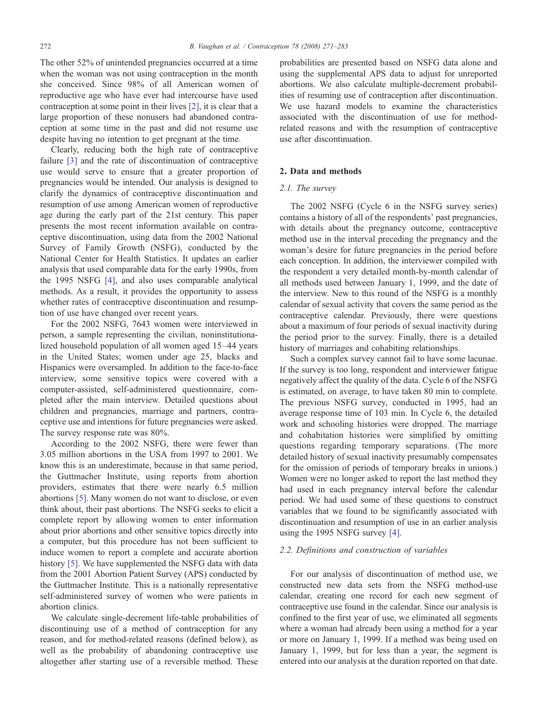The other 52% of unintended pregnancies occurred at a time when the woman was not using contraception in the month she conceived. Since 98% of all American women of reproductive age who have ever had intercourse have used contraception at some point in their lives [\[2\],](#page-12-0) it is clear that a large proportion of these nonusers had abandoned contraception at some time in the past and did not resume use despite having no intention to get pregnant at the time.

Clearly, reducing both the high rate of contraceptive failure [\[3\]](#page-12-0) and the rate of discontinuation of contraceptive use would serve to ensure that a greater proportion of pregnancies would be intended. Our analysis is designed to clarify the dynamics of contraceptive discontinuation and resumption of use among American women of reproductive age during the early part of the 21st century. This paper presents the most recent information available on contraceptive discontinuation, using data from the 2002 National Survey of Family Growth (NSFG), conducted by the National Center for Health Statistics. It updates an earlier analysis that used comparable data for the early 1990s, from the 1995 NSFG [\[4\]](#page-12-0), and also uses comparable analytical methods. As a result, it provides the opportunity to assess whether rates of contraceptive discontinuation and resumption of use have changed over recent years.

For the 2002 NSFG, 7643 women were interviewed in person, a sample representing the civilian, noninstitutionalized household population of all women aged 15–44 years in the United States; women under age 25, blacks and Hispanics were oversampled. In addition to the face-to-face interview, some sensitive topics were covered with a computer-assisted, self-administered questionnaire, completed after the main interview. Detailed questions about children and pregnancies, marriage and partners, contraceptive use and intentions for future pregnancies were asked. The survey response rate was 80%.

According to the 2002 NSFG, there were fewer than 3.05 million abortions in the USA from 1997 to 2001. We know this is an underestimate, because in that same period, the Guttmacher Institute, using reports from abortion providers, estimates that there were nearly 6.5 million abortions [\[5\].](#page-12-0) Many women do not want to disclose, or even think about, their past abortions. The NSFG seeks to elicit a complete report by allowing women to enter information about prior abortions and other sensitive topics directly into a computer, but this procedure has not been sufficient to induce women to report a complete and accurate abortion history [\[5\].](#page-12-0) We have supplemented the NSFG data with data from the 2001 Abortion Patient Survey (APS) conducted by the Guttmacher Institute. This is a nationally representative self-administered survey of women who were patients in abortion clinics.

We calculate single-decrement life-table probabilities of discontinuing use of a method of contraception for any reason, and for method-related reasons (defined below), as well as the probability of abandoning contraceptive use altogether after starting use of a reversible method. These

probabilities are presented based on NSFG data alone and using the supplemental APS data to adjust for unreported abortions. We also calculate multiple-decrement probabilities of resuming use of contraception after discontinuation. We use hazard models to examine the characteristics associated with the discontinuation of use for methodrelated reasons and with the resumption of contraceptive use after discontinuation.

# 2. Data and methods

#### 2.1. The survey

The 2002 NSFG (Cycle 6 in the NSFG survey series) contains a history of all of the respondents' past pregnancies, with details about the pregnancy outcome, contraceptive method use in the interval preceding the pregnancy and the woman's desire for future pregnancies in the period before each conception. In addition, the interviewer compiled with the respondent a very detailed month-by-month calendar of all methods used between January 1, 1999, and the date of the interview. New to this round of the NSFG is a monthly calendar of sexual activity that covers the same period as the contraceptive calendar. Previously, there were questions about a maximum of four periods of sexual inactivity during the period prior to the survey. Finally, there is a detailed history of marriages and cohabiting relationships.

Such a complex survey cannot fail to have some lacunae. If the survey is too long, respondent and interviewer fatigue negatively affect the quality of the data. Cycle 6 of the NSFG is estimated, on average, to have taken 80 min to complete. The previous NSFG survey, conducted in 1995, had an average response time of 103 min. In Cycle 6, the detailed work and schooling histories were dropped. The marriage and cohabitation histories were simplified by omitting questions regarding temporary separations. (The more detailed history of sexual inactivity presumably compensates for the omission of periods of temporary breaks in unions.) Women were no longer asked to report the last method they had used in each pregnancy interval before the calendar period. We had used some of these questions to construct variables that we found to be significantly associated with discontinuation and resumption of use in an earlier analysis using the 1995 NSFG survey [\[4\].](#page-12-0)

# 2.2. Definitions and construction of variables

For our analysis of discontinuation of method use, we constructed new data sets from the NSFG method-use calendar, creating one record for each new segment of contraceptive use found in the calendar. Since our analysis is confined to the first year of use, we eliminated all segments where a woman had already been using a method for a year or more on January 1, 1999. If a method was being used on January 1, 1999, but for less than a year, the segment is entered into our analysis at the duration reported on that date.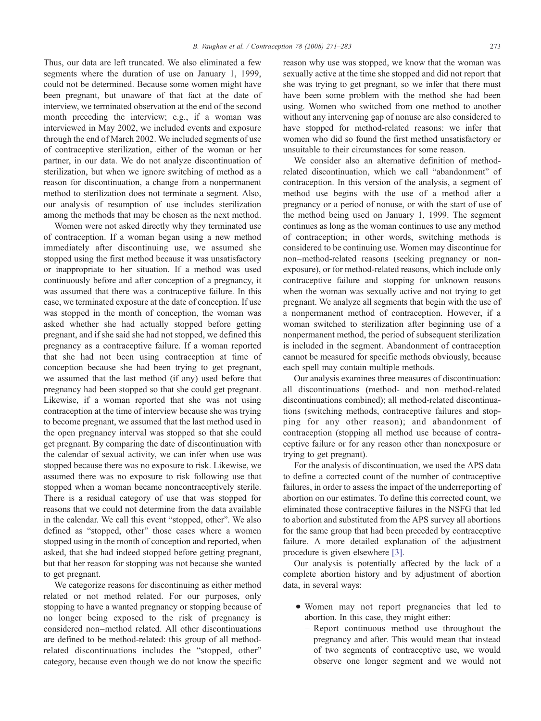Thus, our data are left truncated. We also eliminated a few segments where the duration of use on January 1, 1999, could not be determined. Because some women might have been pregnant, but unaware of that fact at the date of interview, we terminated observation at the end of the second month preceding the interview; e.g., if a woman was interviewed in May 2002, we included events and exposure through the end of March 2002. We included segments of use of contraceptive sterilization, either of the woman or her partner, in our data. We do not analyze discontinuation of sterilization, but when we ignore switching of method as a reason for discontinuation, a change from a nonpermanent method to sterilization does not terminate a segment. Also, our analysis of resumption of use includes sterilization among the methods that may be chosen as the next method.

Women were not asked directly why they terminated use of contraception. If a woman began using a new method immediately after discontinuing use, we assumed she stopped using the first method because it was unsatisfactory or inappropriate to her situation. If a method was used continuously before and after conception of a pregnancy, it was assumed that there was a contraceptive failure. In this case, we terminated exposure at the date of conception. If use was stopped in the month of conception, the woman was asked whether she had actually stopped before getting pregnant, and if she said she had not stopped, we defined this pregnancy as a contraceptive failure. If a woman reported that she had not been using contraception at time of conception because she had been trying to get pregnant, we assumed that the last method (if any) used before that pregnancy had been stopped so that she could get pregnant. Likewise, if a woman reported that she was not using contraception at the time of interview because she was trying to become pregnant, we assumed that the last method used in the open pregnancy interval was stopped so that she could get pregnant. By comparing the date of discontinuation with the calendar of sexual activity, we can infer when use was stopped because there was no exposure to risk. Likewise, we assumed there was no exposure to risk following use that stopped when a woman became noncontraceptively sterile. There is a residual category of use that was stopped for reasons that we could not determine from the data available in the calendar. We call this event "stopped, other". We also defined as "stopped, other" those cases where a women stopped using in the month of conception and reported, when asked, that she had indeed stopped before getting pregnant, but that her reason for stopping was not because she wanted to get pregnant.

We categorize reasons for discontinuing as either method related or not method related. For our purposes, only stopping to have a wanted pregnancy or stopping because of no longer being exposed to the risk of pregnancy is considered non–method related. All other discontinuations are defined to be method-related: this group of all methodrelated discontinuations includes the "stopped, other" category, because even though we do not know the specific

reason why use was stopped, we know that the woman was sexually active at the time she stopped and did not report that she was trying to get pregnant, so we infer that there must have been some problem with the method she had been using. Women who switched from one method to another without any intervening gap of nonuse are also considered to have stopped for method-related reasons: we infer that women who did so found the first method unsatisfactory or unsuitable to their circumstances for some reason.

We consider also an alternative definition of methodrelated discontinuation, which we call "abandonment" of contraception. In this version of the analysis, a segment of method use begins with the use of a method after a pregnancy or a period of nonuse, or with the start of use of the method being used on January 1, 1999. The segment continues as long as the woman continues to use any method of contraception; in other words, switching methods is considered to be continuing use. Women may discontinue for non–method-related reasons (seeking pregnancy or nonexposure), or for method-related reasons, which include only contraceptive failure and stopping for unknown reasons when the woman was sexually active and not trying to get pregnant. We analyze all segments that begin with the use of a nonpermanent method of contraception. However, if a woman switched to sterilization after beginning use of a nonpermanent method, the period of subsequent sterilization is included in the segment. Abandonment of contraception cannot be measured for specific methods obviously, because each spell may contain multiple methods.

Our analysis examines three measures of discontinuation: all discontinuations (method- and non–method-related discontinuations combined); all method-related discontinuations (switching methods, contraceptive failures and stopping for any other reason); and abandonment of contraception (stopping all method use because of contraceptive failure or for any reason other than nonexposure or trying to get pregnant).

For the analysis of discontinuation, we used the APS data to define a corrected count of the number of contraceptive failures, in order to assess the impact of the underreporting of abortion on our estimates. To define this corrected count, we eliminated those contraceptive failures in the NSFG that led to abortion and substituted from the APS survey all abortions for the same group that had been preceded by contraceptive failure. A more detailed explanation of the adjustment procedure is given elsewhere [\[3\].](#page-12-0)

Our analysis is potentially affected by the lack of a complete abortion history and by adjustment of abortion data, in several ways:

- Women may not report pregnancies that led to abortion. In this case, they might either:
	- Report continuous method use throughout the pregnancy and after. This would mean that instead of two segments of contraceptive use, we would observe one longer segment and we would not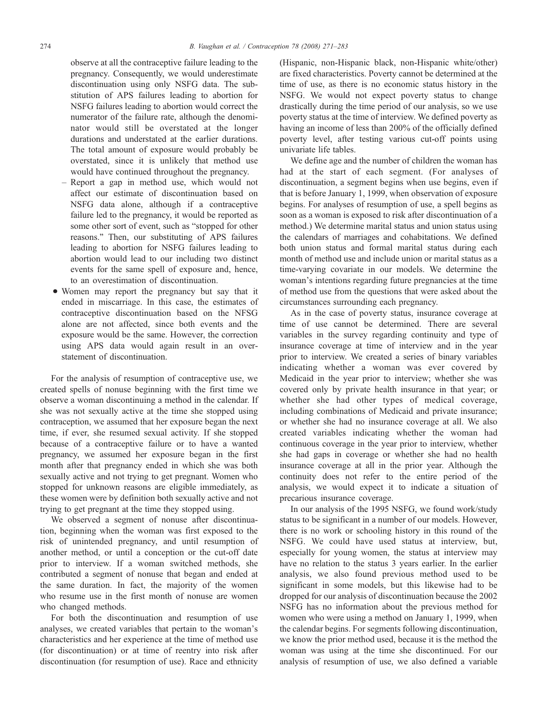observe at all the contraceptive failure leading to the pregnancy. Consequently, we would underestimate discontinuation using only NSFG data. The substitution of APS failures leading to abortion for NSFG failures leading to abortion would correct the numerator of the failure rate, although the denominator would still be overstated at the longer durations and understated at the earlier durations. The total amount of exposure would probably be overstated, since it is unlikely that method use would have continued throughout the pregnancy.

- Report a gap in method use, which would not affect our estimate of discontinuation based on NSFG data alone, although if a contraceptive failure led to the pregnancy, it would be reported as some other sort of event, such as "stopped for other reasons." Then, our substituting of APS failures leading to abortion for NSFG failures leading to abortion would lead to our including two distinct events for the same spell of exposure and, hence, to an overestimation of discontinuation.
- Women may report the pregnancy but say that it ended in miscarriage. In this case, the estimates of contraceptive discontinuation based on the NFSG alone are not affected, since both events and the exposure would be the same. However, the correction using APS data would again result in an overstatement of discontinuation.

For the analysis of resumption of contraceptive use, we created spells of nonuse beginning with the first time we observe a woman discontinuing a method in the calendar. If she was not sexually active at the time she stopped using contraception, we assumed that her exposure began the next time, if ever, she resumed sexual activity. If she stopped because of a contraceptive failure or to have a wanted pregnancy, we assumed her exposure began in the first month after that pregnancy ended in which she was both sexually active and not trying to get pregnant. Women who stopped for unknown reasons are eligible immediately, as these women were by definition both sexually active and not trying to get pregnant at the time they stopped using.

We observed a segment of nonuse after discontinuation, beginning when the woman was first exposed to the risk of unintended pregnancy, and until resumption of another method, or until a conception or the cut-off date prior to interview. If a woman switched methods, she contributed a segment of nonuse that began and ended at the same duration. In fact, the majority of the women who resume use in the first month of nonuse are women who changed methods.

For both the discontinuation and resumption of use analyses, we created variables that pertain to the woman's characteristics and her experience at the time of method use (for discontinuation) or at time of reentry into risk after discontinuation (for resumption of use). Race and ethnicity

(Hispanic, non-Hispanic black, non-Hispanic white/other) are fixed characteristics. Poverty cannot be determined at the time of use, as there is no economic status history in the NSFG. We would not expect poverty status to change drastically during the time period of our analysis, so we use poverty status at the time of interview. We defined poverty as having an income of less than 200% of the officially defined poverty level, after testing various cut-off points using univariate life tables.

We define age and the number of children the woman has had at the start of each segment. (For analyses of discontinuation, a segment begins when use begins, even if that is before January 1, 1999, when observation of exposure begins. For analyses of resumption of use, a spell begins as soon as a woman is exposed to risk after discontinuation of a method.) We determine marital status and union status using the calendars of marriages and cohabitations. We defined both union status and formal marital status during each month of method use and include union or marital status as a time-varying covariate in our models. We determine the woman's intentions regarding future pregnancies at the time of method use from the questions that were asked about the circumstances surrounding each pregnancy.

As in the case of poverty status, insurance coverage at time of use cannot be determined. There are several variables in the survey regarding continuity and type of insurance coverage at time of interview and in the year prior to interview. We created a series of binary variables indicating whether a woman was ever covered by Medicaid in the year prior to interview; whether she was covered only by private health insurance in that year; or whether she had other types of medical coverage, including combinations of Medicaid and private insurance; or whether she had no insurance coverage at all. We also created variables indicating whether the woman had continuous coverage in the year prior to interview, whether she had gaps in coverage or whether she had no health insurance coverage at all in the prior year. Although the continuity does not refer to the entire period of the analysis, we would expect it to indicate a situation of precarious insurance coverage.

In our analysis of the 1995 NSFG, we found work/study status to be significant in a number of our models. However, there is no work or schooling history in this round of the NSFG. We could have used status at interview, but, especially for young women, the status at interview may have no relation to the status 3 years earlier. In the earlier analysis, we also found previous method used to be significant in some models, but this likewise had to be dropped for our analysis of discontinuation because the 2002 NSFG has no information about the previous method for women who were using a method on January 1, 1999, when the calendar begins. For segments following discontinuation, we know the prior method used, because it is the method the woman was using at the time she discontinued. For our analysis of resumption of use, we also defined a variable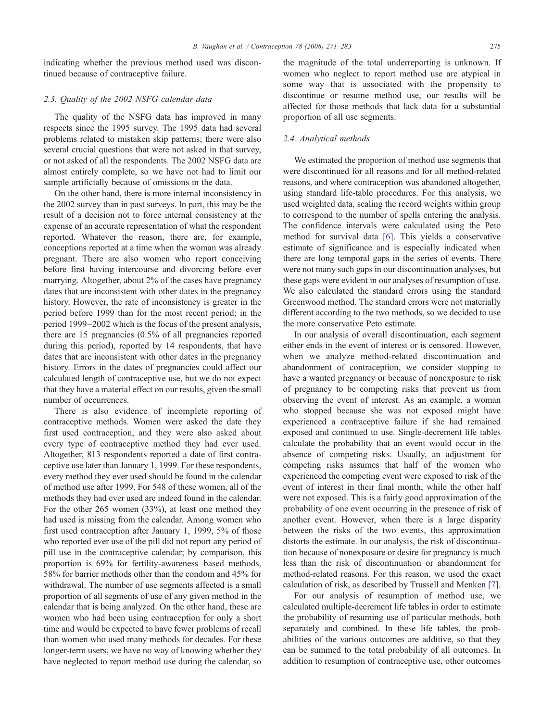indicating whether the previous method used was discontinued because of contraceptive failure.

## 2.3. Quality of the 2002 NSFG calendar data

The quality of the NSFG data has improved in many respects since the 1995 survey. The 1995 data had several problems related to mistaken skip patterns; there were also several crucial questions that were not asked in that survey, or not asked of all the respondents. The 2002 NSFG data are almost entirely complete, so we have not had to limit our sample artificially because of omissions in the data.

On the other hand, there is more internal inconsistency in the 2002 survey than in past surveys. In part, this may be the result of a decision not to force internal consistency at the expense of an accurate representation of what the respondent reported. Whatever the reason, there are, for example, conceptions reported at a time when the woman was already pregnant. There are also women who report conceiving before first having intercourse and divorcing before ever marrying. Altogether, about 2% of the cases have pregnancy dates that are inconsistent with other dates in the pregnancy history. However, the rate of inconsistency is greater in the period before 1999 than for the most recent period; in the period 1999–2002 which is the focus of the present analysis, there are 15 pregnancies (0.5% of all pregnancies reported during this period), reported by 14 respondents, that have dates that are inconsistent with other dates in the pregnancy history. Errors in the dates of pregnancies could affect our calculated length of contraceptive use, but we do not expect that they have a material effect on our results, given the small number of occurrences.

There is also evidence of incomplete reporting of contraceptive methods. Women were asked the date they first used contraception, and they were also asked about every type of contraceptive method they had ever used. Altogether, 813 respondents reported a date of first contraceptive use later than January 1, 1999. For these respondents, every method they ever used should be found in the calendar of method use after 1999. For 548 of these women, all of the methods they had ever used are indeed found in the calendar. For the other 265 women (33%), at least one method they had used is missing from the calendar. Among women who first used contraception after January 1, 1999, 5% of those who reported ever use of the pill did not report any period of pill use in the contraceptive calendar; by comparison, this proportion is 69% for fertility-awareness–based methods, 58% for barrier methods other than the condom and 45% for withdrawal. The number of use segments affected is a small proportion of all segments of use of any given method in the calendar that is being analyzed. On the other hand, these are women who had been using contraception for only a short time and would be expected to have fewer problems of recall than women who used many methods for decades. For these longer-term users, we have no way of knowing whether they have neglected to report method use during the calendar, so

the magnitude of the total underreporting is unknown. If women who neglect to report method use are atypical in some way that is associated with the propensity to discontinue or resume method use, our results will be affected for those methods that lack data for a substantial proportion of all use segments.

#### 2.4. Analytical methods

We estimated the proportion of method use segments that were discontinued for all reasons and for all method-related reasons, and where contraception was abandoned altogether, using standard life-table procedures. For this analysis, we used weighted data, scaling the record weights within group to correspond to the number of spells entering the analysis. The confidence intervals were calculated using the Peto method for survival data [\[6\].](#page-12-0) This yields a conservative estimate of significance and is especially indicated when there are long temporal gaps in the series of events. There were not many such gaps in our discontinuation analyses, but these gaps were evident in our analyses of resumption of use. We also calculated the standard errors using the standard Greenwood method. The standard errors were not materially different according to the two methods, so we decided to use the more conservative Peto estimate.

In our analysis of overall discontinuation, each segment either ends in the event of interest or is censored. However, when we analyze method-related discontinuation and abandonment of contraception, we consider stopping to have a wanted pregnancy or because of nonexposure to risk of pregnancy to be competing risks that prevent us from observing the event of interest. As an example, a woman who stopped because she was not exposed might have experienced a contraceptive failure if she had remained exposed and continued to use. Single-decrement life tables calculate the probability that an event would occur in the absence of competing risks. Usually, an adjustment for competing risks assumes that half of the women who experienced the competing event were exposed to risk of the event of interest in their final month, while the other half were not exposed. This is a fairly good approximation of the probability of one event occurring in the presence of risk of another event. However, when there is a large disparity between the risks of the two events, this approximation distorts the estimate. In our analysis, the risk of discontinuation because of nonexposure or desire for pregnancy is much less than the risk of discontinuation or abandonment for method-related reasons. For this reason, we used the exact calculation of risk, as described by Trussell and Menken [\[7\]](#page-12-0).

For our analysis of resumption of method use, we calculated multiple-decrement life tables in order to estimate the probability of resuming use of particular methods, both separately and combined. In these life tables, the probabilities of the various outcomes are additive, so that they can be summed to the total probability of all outcomes. In addition to resumption of contraceptive use, other outcomes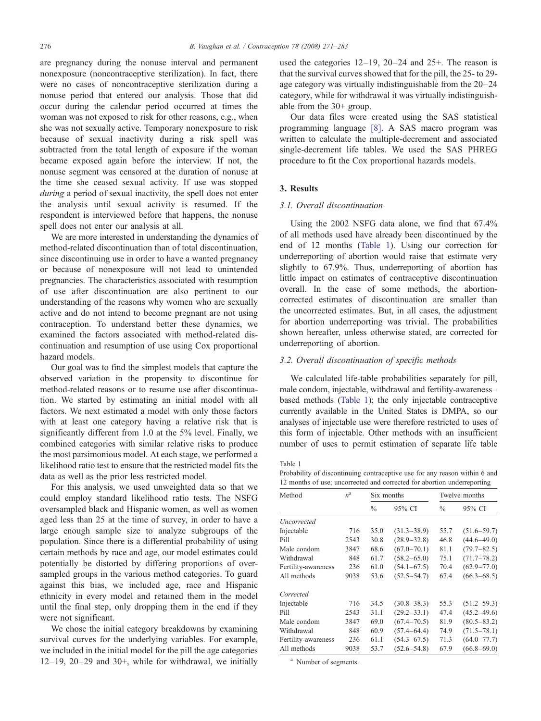are pregnancy during the nonuse interval and permanent nonexposure (noncontraceptive sterilization). In fact, there were no cases of noncontraceptive sterilization during a nonuse period that entered our analysis. Those that did occur during the calendar period occurred at times the woman was not exposed to risk for other reasons, e.g., when she was not sexually active. Temporary nonexposure to risk because of sexual inactivity during a risk spell was subtracted from the total length of exposure if the woman became exposed again before the interview. If not, the nonuse segment was censored at the duration of nonuse at the time she ceased sexual activity. If use was stopped during a period of sexual inactivity, the spell does not enter the analysis until sexual activity is resumed. If the respondent is interviewed before that happens, the nonuse spell does not enter our analysis at all.

We are more interested in understanding the dynamics of method-related discontinuation than of total discontinuation, since discontinuing use in order to have a wanted pregnancy or because of nonexposure will not lead to unintended pregnancies. The characteristics associated with resumption of use after discontinuation are also pertinent to our understanding of the reasons why women who are sexually active and do not intend to become pregnant are not using contraception. To understand better these dynamics, we examined the factors associated with method-related discontinuation and resumption of use using Cox proportional hazard models.

Our goal was to find the simplest models that capture the observed variation in the propensity to discontinue for method-related reasons or to resume use after discontinuation. We started by estimating an initial model with all factors. We next estimated a model with only those factors with at least one category having a relative risk that is significantly different from 1.0 at the 5% level. Finally, we combined categories with similar relative risks to produce the most parsimonious model. At each stage, we performed a likelihood ratio test to ensure that the restricted model fits the data as well as the prior less restricted model.

For this analysis, we used unweighted data so that we could employ standard likelihood ratio tests. The NSFG oversampled black and Hispanic women, as well as women aged less than 25 at the time of survey, in order to have a large enough sample size to analyze subgroups of the population. Since there is a differential probability of using certain methods by race and age, our model estimates could potentially be distorted by differing proportions of oversampled groups in the various method categories. To guard against this bias, we included age, race and Hispanic ethnicity in every model and retained them in the model until the final step, only dropping them in the end if they were not significant.

We chose the initial category breakdowns by examining survival curves for the underlying variables. For example, we included in the initial model for the pill the age categories 12–19, 20–29 and 30+, while for withdrawal, we initially used the categories 12–19, 20–24 and 25+. The reason is that the survival curves showed that for the pill, the 25- to 29 age category was virtually indistinguishable from the 20–24 category, while for withdrawal it was virtually indistinguishable from the 30+ group.

Our data files were created using the SAS statistical programming language [\[8\].](#page-12-0) A SAS macro program was written to calculate the multiple-decrement and associated single-decrement life tables. We used the SAS PHREG procedure to fit the Cox proportional hazards models.

# 3. Results

# 3.1. Overall discontinuation

Using the 2002 NSFG data alone, we find that 67.4% of all methods used have already been discontinued by the end of 12 months (Table 1). Using our correction for underreporting of abortion would raise that estimate very slightly to 67.9%. Thus, underreporting of abortion has little impact on estimates of contraceptive discontinuation overall. In the case of some methods, the abortioncorrected estimates of discontinuation are smaller than the uncorrected estimates. But, in all cases, the adjustment for abortion underreporting was trivial. The probabilities shown hereafter, unless otherwise stated, are corrected for underreporting of abortion.

# 3.2. Overall discontinuation of specific methods

We calculated life-table probabilities separately for pill, male condom, injectable, withdrawal and fertility-awareness– based methods (Table 1); the only injectable contraceptive currently available in the United States is DMPA, so our analyses of injectable use were therefore restricted to uses of this form of injectable. Other methods with an insufficient number of uses to permit estimation of separate life table

Table 1

Probability of discontinuing contraceptive use for any reason within 6 and 12 months of use; uncorrected and corrected for abortion underreporting

| Method              | $n^{\rm a}$ | Six months    |                 | Twelve months |                 |
|---------------------|-------------|---------------|-----------------|---------------|-----------------|
|                     |             | $\frac{0}{0}$ | 95% CI          | $\frac{0}{0}$ | 95% CI          |
| Uncorrected         |             |               |                 |               |                 |
| Injectable          | 716         | 35.0          | $(31.3 - 38.9)$ | 55.7          | $(51.6 - 59.7)$ |
| Pill                | 2543        | 30.8          | $(28.9 - 32.8)$ | 46.8          | $(44.6 - 49.0)$ |
| Male condom         | 3847        | 68.6          | $(67.0 - 70.1)$ | 81.1          | $(79.7 - 82.5)$ |
| Withdrawal          | 848         | 61.7          | $(58.2 - 65.0)$ | 75.1          | $(71.7 - 78.2)$ |
| Fertility-awareness | 236         | 61.0          | $(54.1 - 67.5)$ | 70.4          | $(62.9 - 77.0)$ |
| All methods         | 9038        | 53.6          | $(52.5 - 54.7)$ | 67.4          | $(66.3 - 68.5)$ |
| Corrected           |             |               |                 |               |                 |
| Injectable          | 716         | 34.5          | $(30.8 - 38.3)$ | 55.3          | $(51.2 - 59.3)$ |
| Pill                | 2543        | 31.1          | $(29.2 - 33.1)$ | 47.4          | $(45.2 - 49.6)$ |
| Male condom         | 3847        | 69.0          | $(67.4 - 70.5)$ | 81.9          | $(80.5 - 83.2)$ |
| Withdrawal          | 848         | 60.9          | $(57.4 - 64.4)$ | 74.9          | $(71.5 - 78.1)$ |
| Fertility-awareness | 236         | 61.1          | $(54.3 - 67.5)$ | 71.3          | $(64.0 - 77.7)$ |
| All methods         | 9038        | 53.7          | $(52.6 - 54.8)$ | 67.9          | $(66.8 - 69.0)$ |

<sup>a</sup> Number of segments.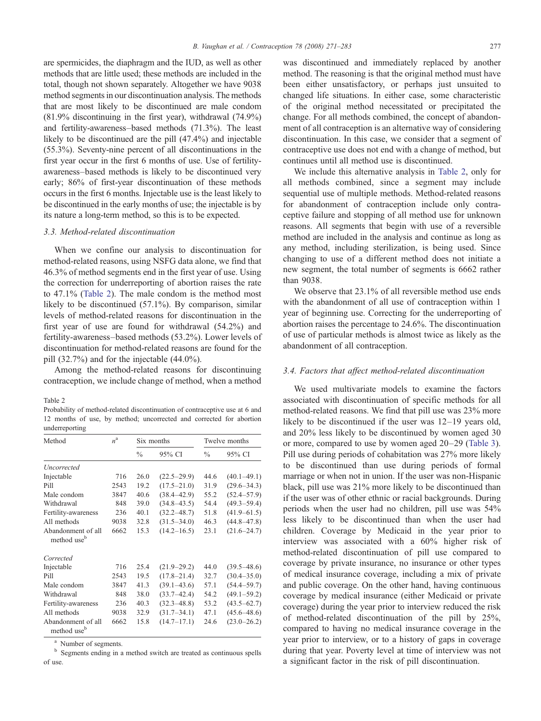are spermicides, the diaphragm and the IUD, as well as other methods that are little used; these methods are included in the total, though not shown separately. Altogether we have 9038 method segments in our discontinuation analysis. The methods that are most likely to be discontinued are male condom (81.9% discontinuing in the first year), withdrawal (74.9%) and fertility-awareness–based methods (71.3%). The least likely to be discontinued are the pill (47.4%) and injectable (55.3%). Seventy-nine percent of all discontinuations in the first year occur in the first 6 months of use. Use of fertilityawareness–based methods is likely to be discontinued very early; 86% of first-year discontinuation of these methods occurs in the first 6 months. Injectable use is the least likely to be discontinued in the early months of use; the injectable is by its nature a long-term method, so this is to be expected.

#### 3.3. Method-related discontinuation

When we confine our analysis to discontinuation for method-related reasons, using NSFG data alone, we find that 46.3% of method segments end in the first year of use. Using the correction for underreporting of abortion raises the rate to 47.1% (Table 2). The male condom is the method most likely to be discontinued (57.1%). By comparison, similar levels of method-related reasons for discontinuation in the first year of use are found for withdrawal (54.2%) and fertility-awareness–based methods (53.2%). Lower levels of discontinuation for method-related reasons are found for the pill (32.7%) and for the injectable (44.0%).

Among the method-related reasons for discontinuing contraception, we include change of method, when a method

#### Table 2

Probability of method-related discontinuation of contraceptive use at 6 and 12 months of use, by method; uncorrected and corrected for abortion underreporting

| Method                                        | $n^{\rm a}$ | Six months    |                 | Twelve months |                 |
|-----------------------------------------------|-------------|---------------|-----------------|---------------|-----------------|
|                                               |             | $\frac{0}{0}$ | 95% CI          | $\frac{0}{0}$ | 95% CI          |
| <i>Uncorrected</i>                            |             |               |                 |               |                 |
| Injectable                                    | 716         | 26.0          | $(22.5 - 29.9)$ | 44.6          | $(40.1 - 49.1)$ |
| Pill                                          | 2543        | 19.2          | $(17.5 - 21.0)$ | 31.9          | $(29.6 - 34.3)$ |
| Male condom                                   | 3847        | 40.6          | $(38.4 - 42.9)$ | 55.2          | $(52.4 - 57.9)$ |
| Withdrawal                                    | 848         | 39.0          | $(34.8 - 43.5)$ | 54.4          | $(49.3 - 59.4)$ |
| Fertility-awareness                           | 236         | 40.1          | $(32.2 - 48.7)$ | 51.8          | $(41.9 - 61.5)$ |
| All methods                                   | 9038        | 32.8          | $(31.5 - 34.0)$ | 46.3          | $(44.8 - 47.8)$ |
| Abandonment of all<br>method use <sup>b</sup> | 6662        | 15.3          | $(14.2 - 16.5)$ | 23.1          | $(21.6 - 24.7)$ |
| Corrected                                     |             |               |                 |               |                 |
| Injectable                                    | 716         | 25.4          | $(21.9 - 29.2)$ | 44.0          | $(39.5 - 48.6)$ |
| Pill                                          | 2543        | 19.5          | $(17.8 - 21.4)$ | 32.7          | $(30.4 - 35.0)$ |
| Male condom                                   | 3847        | 41.3          | $(39.1 - 43.6)$ | 57.1          | $(54.4 - 59.7)$ |
| Withdrawal                                    | 848         | 38.0          | $(33.7 - 42.4)$ | 54.2          | $(49.1 - 59.2)$ |
| Fertility-awareness                           | 236         | 40.3          | $(32.3 - 48.8)$ | 53.2          | $(43.5 - 62.7)$ |
| All methods                                   | 9038        | 32.9          | $(31.7 - 34.1)$ | 47.1          | $(45.6 - 48.6)$ |
| Abandonment of all<br>method use <sup>b</sup> | 6662        | 15.8          | $(14.7 - 17.1)$ | 24.6          | $(23.0 - 26.2)$ |

 $<sup>a</sup>$  Number of segments.<br>b Segments ending in a method switch are treated as continuous spells</sup> of use.

was discontinued and immediately replaced by another method. The reasoning is that the original method must have been either unsatisfactory, or perhaps just unsuited to changed life situations. In either case, some characteristic of the original method necessitated or precipitated the change. For all methods combined, the concept of abandonment of all contraception is an alternative way of considering discontinuation. In this case, we consider that a segment of contraceptive use does not end with a change of method, but continues until all method use is discontinued.

We include this alternative analysis in Table 2, only for all methods combined, since a segment may include sequential use of multiple methods. Method-related reasons for abandonment of contraception include only contraceptive failure and stopping of all method use for unknown reasons. All segments that begin with use of a reversible method are included in the analysis and continue as long as any method, including sterilization, is being used. Since changing to use of a different method does not initiate a new segment, the total number of segments is 6662 rather than 9038.

We observe that 23.1% of all reversible method use ends with the abandonment of all use of contraception within 1 year of beginning use. Correcting for the underreporting of abortion raises the percentage to 24.6%. The discontinuation of use of particular methods is almost twice as likely as the abandonment of all contraception.

# 3.4. Factors that affect method-related discontinuation

We used multivariate models to examine the factors associated with discontinuation of specific methods for all method-related reasons. We find that pill use was 23% more likely to be discontinued if the user was 12–19 years old, and 20% less likely to be discontinued by women aged 30 or more, compared to use by women aged 20–29 ([Table 3](#page-7-0)). Pill use during periods of cohabitation was 27% more likely to be discontinued than use during periods of formal marriage or when not in union. If the user was non-Hispanic black, pill use was 21% more likely to be discontinued than if the user was of other ethnic or racial backgrounds. During periods when the user had no children, pill use was 54% less likely to be discontinued than when the user had children. Coverage by Medicaid in the year prior to interview was associated with a 60% higher risk of method-related discontinuation of pill use compared to coverage by private insurance, no insurance or other types of medical insurance coverage, including a mix of private and public coverage. On the other hand, having continuous coverage by medical insurance (either Medicaid or private coverage) during the year prior to interview reduced the risk of method-related discontinuation of the pill by 25%, compared to having no medical insurance coverage in the year prior to interview, or to a history of gaps in coverage during that year. Poverty level at time of interview was not a significant factor in the risk of pill discontinuation.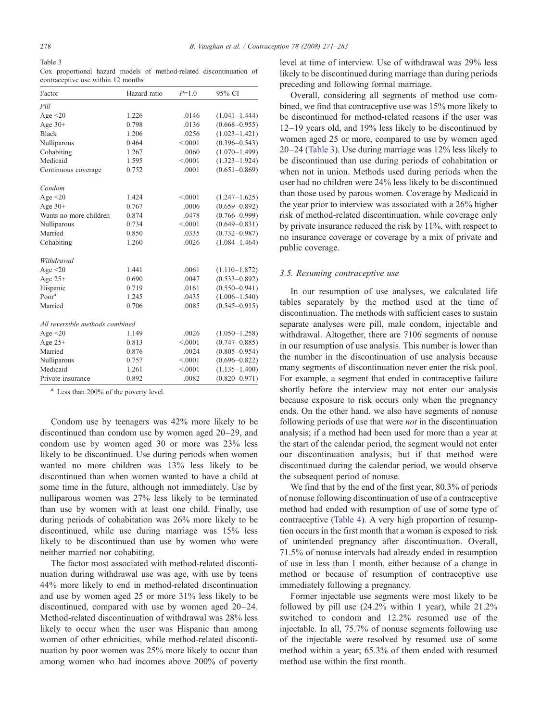<span id="page-7-0"></span>Table 3 Cox proportional hazard models of method-related discontinuation of contraceptive use within 12 months

| Factor                          | Hazard ratio | $P=1.0$ | 95% CI            |
|---------------------------------|--------------|---------|-------------------|
| Pill                            |              |         |                   |
| Age $\leq$ 20                   | 1.226        | .0146   | $(1.041 - 1.444)$ |
| Age $30+$                       | 0.798        | .0136   | $(0.668 - 0.955)$ |
| <b>Black</b>                    | 1.206        | .0256   | $(1.023 - 1.421)$ |
| Nulliparous                     | 0.464        | < 0001  | $(0.396 - 0.543)$ |
| Cohabiting                      | 1.267        | .0060   | $(1.070 - 1.499)$ |
| Medicaid                        | 1.595        | < 0001  | $(1.323 - 1.924)$ |
| Continuous coverage             | 0.752        | .0001   | $(0.651 - 0.869)$ |
| Condom                          |              |         |                   |
| Age $\leq$ 20                   | 1.424        | < 0001  | $(1.247 - 1.625)$ |
| Age $30+$                       | 0.767        | .0006   | $(0.659 - 0.892)$ |
| Wants no more children          | 0.874        | .0478   | $(0.766 - 0.999)$ |
| Nulliparous                     | 0.734        | < 0001  | $(0.649 - 0.831)$ |
| Married                         | 0.850        | .0335   | $(0.732 - 0.987)$ |
| Cohabiting                      | 1.260        | .0026   | $(1.084 - 1.464)$ |
| Withdrawal                      |              |         |                   |
| Age $\leq$ 20                   | 1.441        | .0061   | $(1.110 - 1.872)$ |
| Age $25+$                       | 0.690        | .0047   | $(0.533 - 0.892)$ |
| Hispanic                        | 0.719        | .0161   | $(0.550 - 0.941)$ |
| Poor <sup>a</sup>               | 1.245        | .0435   | $(1.006 - 1.540)$ |
| Married                         | 0.706        | .0085   | $(0.545 - 0.915)$ |
| All reversible methods combined |              |         |                   |
| Age $\leq$ 20                   | 1.149        | .0026   | $(1.050 - 1.258)$ |
| Age $25+$                       | 0.813        | < 0001  | $(0.747 - 0.885)$ |
| Married                         | 0.876        | .0024   | $(0.805 - 0.954)$ |
| Nulliparous                     | 0.757        | < 0001  | $(0.696 - 0.822)$ |
| Medicaid                        | 1.261        | < 0001  | $(1.135 - 1.400)$ |
| Private insurance               | 0.892        | .0082   | $(0.820 - 0.971)$ |

<sup>a</sup> Less than 200% of the poverty level.

Condom use by teenagers was 42% more likely to be discontinued than condom use by women aged 20–29, and condom use by women aged 30 or more was 23% less likely to be discontinued. Use during periods when women wanted no more children was 13% less likely to be discontinued than when women wanted to have a child at some time in the future, although not immediately. Use by nulliparous women was 27% less likely to be terminated than use by women with at least one child. Finally, use during periods of cohabitation was 26% more likely to be discontinued, while use during marriage was 15% less likely to be discontinued than use by women who were neither married nor cohabiting.

The factor most associated with method-related discontinuation during withdrawal use was age, with use by teens 44% more likely to end in method-related discontinuation and use by women aged 25 or more 31% less likely to be discontinued, compared with use by women aged 20–24. Method-related discontinuation of withdrawal was 28% less likely to occur when the user was Hispanic than among women of other ethnicities, while method-related discontinuation by poor women was 25% more likely to occur than among women who had incomes above 200% of poverty

level at time of interview. Use of withdrawal was 29% less likely to be discontinued during marriage than during periods preceding and following formal marriage.

Overall, considering all segments of method use combined, we find that contraceptive use was 15% more likely to be discontinued for method-related reasons if the user was 12–19 years old, and 19% less likely to be discontinued by women aged 25 or more, compared to use by women aged 20–24 (Table 3). Use during marriage was 12% less likely to be discontinued than use during periods of cohabitation or when not in union. Methods used during periods when the user had no children were 24% less likely to be discontinued than those used by parous women. Coverage by Medicaid in the year prior to interview was associated with a 26% higher risk of method-related discontinuation, while coverage only by private insurance reduced the risk by 11%, with respect to no insurance coverage or coverage by a mix of private and public coverage.

#### 3.5. Resuming contraceptive use

In our resumption of use analyses, we calculated life tables separately by the method used at the time of discontinuation. The methods with sufficient cases to sustain separate analyses were pill, male condom, injectable and withdrawal. Altogether, there are 7106 segments of nonuse in our resumption of use analysis. This number is lower than the number in the discontinuation of use analysis because many segments of discontinuation never enter the risk pool. For example, a segment that ended in contraceptive failure shortly before the interview may not enter our analysis because exposure to risk occurs only when the pregnancy ends. On the other hand, we also have segments of nonuse following periods of use that were not in the discontinuation analysis; if a method had been used for more than a year at the start of the calendar period, the segment would not enter our discontinuation analysis, but if that method were discontinued during the calendar period, we would observe the subsequent period of nonuse.

We find that by the end of the first year, 80.3% of periods of nonuse following discontinuation of use of a contraceptive method had ended with resumption of use of some type of contraceptive ([Table 4\)](#page-8-0). A very high proportion of resumption occurs in the first month that a woman is exposed to risk of unintended pregnancy after discontinuation. Overall, 71.5% of nonuse intervals had already ended in resumption of use in less than 1 month, either because of a change in method or because of resumption of contraceptive use immediately following a pregnancy.

Former injectable use segments were most likely to be followed by pill use (24.2% within 1 year), while 21.2% switched to condom and 12.2% resumed use of the injectable. In all, 75.7% of nonuse segments following use of the injectable were resolved by resumed use of some method within a year; 65.3% of them ended with resumed method use within the first month.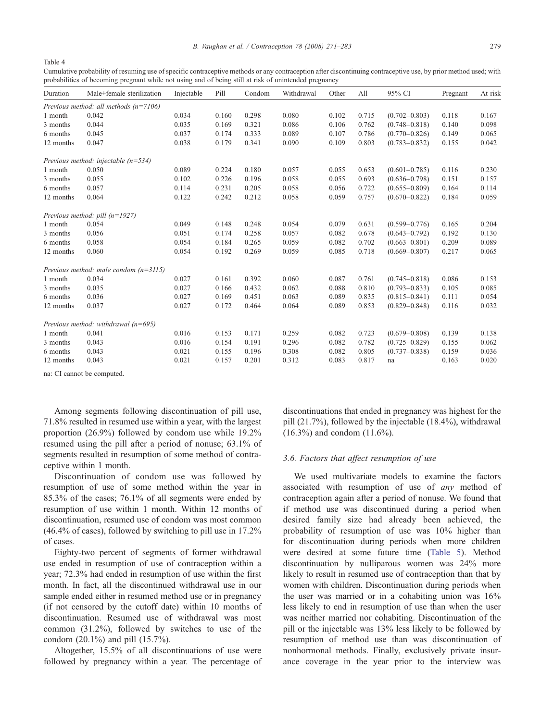<span id="page-8-0"></span>Table 4

Cumulative probability of resuming use of specific contraceptive methods or any contraception after discontinuing contraceptive use, by prior method used; with probabilities of becoming pregnant while not using and of being still at risk of unintended pregnancy

| Duration  | Male+female sterilization               | Injectable | Pill  | Condom | Withdrawal | Other | All   | 95% CI            | Pregnant | At risk |
|-----------|-----------------------------------------|------------|-------|--------|------------|-------|-------|-------------------|----------|---------|
|           | Previous method: all methods $(n=7106)$ |            |       |        |            |       |       |                   |          |         |
| 1 month   | 0.042                                   | 0.034      | 0.160 | 0.298  | 0.080      | 0.102 | 0.715 | $(0.702 - 0.803)$ | 0.118    | 0.167   |
| 3 months  | 0.044                                   | 0.035      | 0.169 | 0.321  | 0.086      | 0.106 | 0.762 | $(0.748 - 0.818)$ | 0.140    | 0.098   |
| 6 months  | 0.045                                   | 0.037      | 0.174 | 0.333  | 0.089      | 0.107 | 0.786 | $(0.770 - 0.826)$ | 0.149    | 0.065   |
| 12 months | 0.047                                   | 0.038      | 0.179 | 0.341  | 0.090      | 0.109 | 0.803 | $(0.783 - 0.832)$ | 0.155    | 0.042   |
|           | Previous method: injectable $(n=534)$   |            |       |        |            |       |       |                   |          |         |
| 1 month   | 0.050                                   | 0.089      | 0.224 | 0.180  | 0.057      | 0.055 | 0.653 | $(0.601 - 0.785)$ | 0.116    | 0.230   |
| 3 months  | 0.055                                   | 0.102      | 0.226 | 0.196  | 0.058      | 0.055 | 0.693 | $(0.636 - 0.798)$ | 0.151    | 0.157   |
| 6 months  | 0.057                                   | 0.114      | 0.231 | 0.205  | 0.058      | 0.056 | 0.722 | $(0.655 - 0.809)$ | 0.164    | 0.114   |
| 12 months | 0.064                                   | 0.122      | 0.242 | 0.212  | 0.058      | 0.059 | 0.757 | $(0.670 - 0.822)$ | 0.184    | 0.059   |
|           | Previous method: pill $(n=1927)$        |            |       |        |            |       |       |                   |          |         |
| 1 month   | 0.054                                   | 0.049      | 0.148 | 0.248  | 0.054      | 0.079 | 0.631 | $(0.599 - 0.776)$ | 0.165    | 0.204   |
| 3 months  | 0.056                                   | 0.051      | 0.174 | 0.258  | 0.057      | 0.082 | 0.678 | $(0.643 - 0.792)$ | 0.192    | 0.130   |
| 6 months  | 0.058                                   | 0.054      | 0.184 | 0.265  | 0.059      | 0.082 | 0.702 | $(0.663 - 0.801)$ | 0.209    | 0.089   |
| 12 months | 0.060                                   | 0.054      | 0.192 | 0.269  | 0.059      | 0.085 | 0.718 | $(0.669 - 0.807)$ | 0.217    | 0.065   |
|           | Previous method: male condom $(n=3115)$ |            |       |        |            |       |       |                   |          |         |
| 1 month   | 0.034                                   | 0.027      | 0.161 | 0.392  | 0.060      | 0.087 | 0.761 | $(0.745 - 0.818)$ | 0.086    | 0.153   |
| 3 months  | 0.035                                   | 0.027      | 0.166 | 0.432  | 0.062      | 0.088 | 0.810 | $(0.793 - 0.833)$ | 0.105    | 0.085   |
| 6 months  | 0.036                                   | 0.027      | 0.169 | 0.451  | 0.063      | 0.089 | 0.835 | $(0.815 - 0.841)$ | 0.111    | 0.054   |
| 12 months | 0.037                                   | 0.027      | 0.172 | 0.464  | 0.064      | 0.089 | 0.853 | $(0.829 - 0.848)$ | 0.116    | 0.032   |
|           | Previous method: withdrawal $(n=695)$   |            |       |        |            |       |       |                   |          |         |
| 1 month   | 0.041                                   | 0.016      | 0.153 | 0.171  | 0.259      | 0.082 | 0.723 | $(0.679 - 0.808)$ | 0.139    | 0.138   |
| 3 months  | 0.043                                   | 0.016      | 0.154 | 0.191  | 0.296      | 0.082 | 0.782 | $(0.725 - 0.829)$ | 0.155    | 0.062   |
| 6 months  | 0.043                                   | 0.021      | 0.155 | 0.196  | 0.308      | 0.082 | 0.805 | $(0.737 - 0.838)$ | 0.159    | 0.036   |
| 12 months | 0.043                                   | 0.021      | 0.157 | 0.201  | 0.312      | 0.083 | 0.817 | na                | 0.163    | 0.020   |

na: CI cannot be computed.

Among segments following discontinuation of pill use, 71.8% resulted in resumed use within a year, with the largest proportion (26.9%) followed by condom use while 19.2% resumed using the pill after a period of nonuse; 63.1% of segments resulted in resumption of some method of contraceptive within 1 month.

Discontinuation of condom use was followed by resumption of use of some method within the year in 85.3% of the cases; 76.1% of all segments were ended by resumption of use within 1 month. Within 12 months of discontinuation, resumed use of condom was most common (46.4% of cases), followed by switching to pill use in 17.2% of cases.

Eighty-two percent of segments of former withdrawal use ended in resumption of use of contraception within a year; 72.3% had ended in resumption of use within the first month. In fact, all the discontinued withdrawal use in our sample ended either in resumed method use or in pregnancy (if not censored by the cutoff date) within 10 months of discontinuation. Resumed use of withdrawal was most common (31.2%), followed by switches to use of the condom (20.1%) and pill (15.7%).

Altogether, 15.5% of all discontinuations of use were followed by pregnancy within a year. The percentage of discontinuations that ended in pregnancy was highest for the pill (21.7%), followed by the injectable (18.4%), withdrawal (16.3%) and condom (11.6%).

#### 3.6. Factors that affect resumption of use

We used multivariate models to examine the factors associated with resumption of use of any method of contraception again after a period of nonuse. We found that if method use was discontinued during a period when desired family size had already been achieved, the probability of resumption of use was 10% higher than for discontinuation during periods when more children were desired at some future time ([Table 5](#page-9-0)). Method discontinuation by nulliparous women was 24% more likely to result in resumed use of contraception than that by women with children. Discontinuation during periods when the user was married or in a cohabiting union was 16% less likely to end in resumption of use than when the user was neither married nor cohabiting. Discontinuation of the pill or the injectable was 13% less likely to be followed by resumption of method use than was discontinuation of nonhormonal methods. Finally, exclusively private insurance coverage in the year prior to the interview was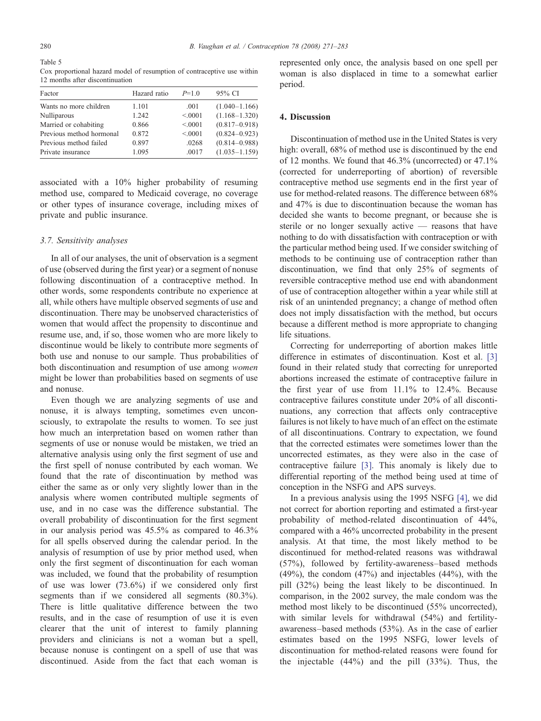#### <span id="page-9-0"></span>Table 5

Cox proportional hazard model of resumption of contraceptive use within 12 months after discontinuation

| Factor                   | Hazard ratio | $P=1.0$ | 95% CI            |
|--------------------------|--------------|---------|-------------------|
| Wants no more children   | 1.101        | .001    | $(1.040 - 1.166)$ |
| Nulliparous              | 1.242        | < 0001  | $(1.168 - 1.320)$ |
| Married or cohabiting    | 0.866        | < 0001  | $(0.817 - 0.918)$ |
| Previous method hormonal | 0.872        | < 0001  | $(0.824 - 0.923)$ |
| Previous method failed   | 0.897        | .0268   | $(0.814 - 0.988)$ |
| Private insurance        | 1.095        | .0017   | $(1.035 - 1.159)$ |

associated with a 10% higher probability of resuming method use, compared to Medicaid coverage, no coverage or other types of insurance coverage, including mixes of private and public insurance.

#### 3.7. Sensitivity analyses

In all of our analyses, the unit of observation is a segment of use (observed during the first year) or a segment of nonuse following discontinuation of a contraceptive method. In other words, some respondents contribute no experience at all, while others have multiple observed segments of use and discontinuation. There may be unobserved characteristics of women that would affect the propensity to discontinue and resume use, and, if so, those women who are more likely to discontinue would be likely to contribute more segments of both use and nonuse to our sample. Thus probabilities of both discontinuation and resumption of use among women might be lower than probabilities based on segments of use and nonuse.

Even though we are analyzing segments of use and nonuse, it is always tempting, sometimes even unconsciously, to extrapolate the results to women. To see just how much an interpretation based on women rather than segments of use or nonuse would be mistaken, we tried an alternative analysis using only the first segment of use and the first spell of nonuse contributed by each woman. We found that the rate of discontinuation by method was either the same as or only very slightly lower than in the analysis where women contributed multiple segments of use, and in no case was the difference substantial. The overall probability of discontinuation for the first segment in our analysis period was 45.5% as compared to 46.3% for all spells observed during the calendar period. In the analysis of resumption of use by prior method used, when only the first segment of discontinuation for each woman was included, we found that the probability of resumption of use was lower (73.6%) if we considered only first segments than if we considered all segments (80.3%). There is little qualitative difference between the two results, and in the case of resumption of use it is even clearer that the unit of interest to family planning providers and clinicians is not a woman but a spell, because nonuse is contingent on a spell of use that was discontinued. Aside from the fact that each woman is

represented only once, the analysis based on one spell per woman is also displaced in time to a somewhat earlier period.

#### 4. Discussion

Discontinuation of method use in the United States is very high: overall, 68% of method use is discontinued by the end of 12 months. We found that 46.3% (uncorrected) or 47.1% (corrected for underreporting of abortion) of reversible contraceptive method use segments end in the first year of use for method-related reasons. The difference between 68% and 47% is due to discontinuation because the woman has decided she wants to become pregnant, or because she is sterile or no longer sexually active — reasons that have nothing to do with dissatisfaction with contraception or with the particular method being used. If we consider switching of methods to be continuing use of contraception rather than discontinuation, we find that only 25% of segments of reversible contraceptive method use end with abandonment of use of contraception altogether within a year while still at risk of an unintended pregnancy; a change of method often does not imply dissatisfaction with the method, but occurs because a different method is more appropriate to changing life situations.

Correcting for underreporting of abortion makes little difference in estimates of discontinuation. Kost et al. [\[3\]](#page-12-0) found in their related study that correcting for unreported abortions increased the estimate of contraceptive failure in the first year of use from 11.1% to 12.4%. Because contraceptive failures constitute under 20% of all discontinuations, any correction that affects only contraceptive failures is not likely to have much of an effect on the estimate of all discontinuations. Contrary to expectation, we found that the corrected estimates were sometimes lower than the uncorrected estimates, as they were also in the case of contraceptive failure [\[3\]](#page-12-0). This anomaly is likely due to differential reporting of the method being used at time of conception in the NSFG and APS surveys.

In a previous analysis using the 1995 NSFG [\[4\]](#page-12-0), we did not correct for abortion reporting and estimated a first-year probability of method-related discontinuation of 44%, compared with a 46% uncorrected probability in the present analysis. At that time, the most likely method to be discontinued for method-related reasons was withdrawal (57%), followed by fertility-awareness–based methods (49%), the condom (47%) and injectables (44%), with the pill (32%) being the least likely to be discontinued. In comparison, in the 2002 survey, the male condom was the method most likely to be discontinued (55% uncorrected), with similar levels for withdrawal (54%) and fertilityawareness–based methods (53%). As in the case of earlier estimates based on the 1995 NSFG, lower levels of discontinuation for method-related reasons were found for the injectable (44%) and the pill (33%). Thus, the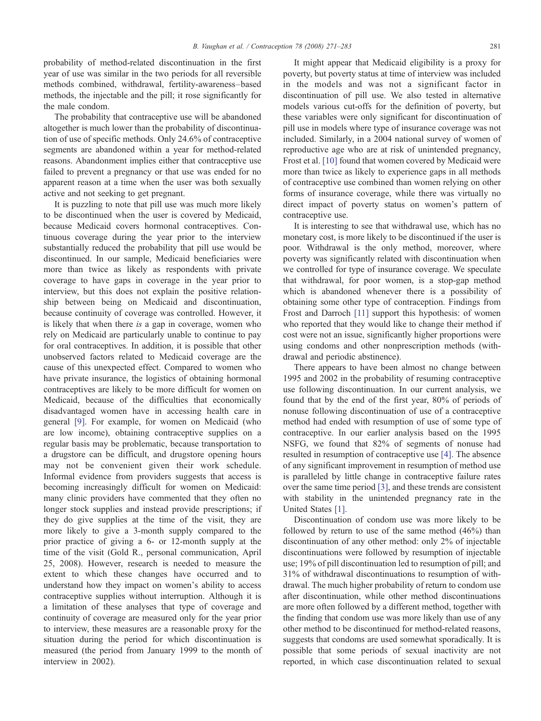probability of method-related discontinuation in the first year of use was similar in the two periods for all reversible methods combined, withdrawal, fertility-awareness–based methods, the injectable and the pill; it rose significantly for the male condom.

The probability that contraceptive use will be abandoned altogether is much lower than the probability of discontinuation of use of specific methods. Only 24.6% of contraceptive segments are abandoned within a year for method-related reasons. Abandonment implies either that contraceptive use failed to prevent a pregnancy or that use was ended for no apparent reason at a time when the user was both sexually active and not seeking to get pregnant.

It is puzzling to note that pill use was much more likely to be discontinued when the user is covered by Medicaid, because Medicaid covers hormonal contraceptives. Continuous coverage during the year prior to the interview substantially reduced the probability that pill use would be discontinued. In our sample, Medicaid beneficiaries were more than twice as likely as respondents with private coverage to have gaps in coverage in the year prior to interview, but this does not explain the positive relationship between being on Medicaid and discontinuation, because continuity of coverage was controlled. However, it is likely that when there is a gap in coverage, women who rely on Medicaid are particularly unable to continue to pay for oral contraceptives. In addition, it is possible that other unobserved factors related to Medicaid coverage are the cause of this unexpected effect. Compared to women who have private insurance, the logistics of obtaining hormonal contraceptives are likely to be more difficult for women on Medicaid, because of the difficulties that economically disadvantaged women have in accessing health care in general [\[9\]](#page-12-0). For example, for women on Medicaid (who are low income), obtaining contraceptive supplies on a regular basis may be problematic, because transportation to a drugstore can be difficult, and drugstore opening hours may not be convenient given their work schedule. Informal evidence from providers suggests that access is becoming increasingly difficult for women on Medicaid: many clinic providers have commented that they often no longer stock supplies and instead provide prescriptions; if they do give supplies at the time of the visit, they are more likely to give a 3-month supply compared to the prior practice of giving a 6- or 12-month supply at the time of the visit (Gold R., personal communication, April 25, 2008). However, research is needed to measure the extent to which these changes have occurred and to understand how they impact on women's ability to access contraceptive supplies without interruption. Although it is a limitation of these analyses that type of coverage and continuity of coverage are measured only for the year prior to interview, these measures are a reasonable proxy for the situation during the period for which discontinuation is measured (the period from January 1999 to the month of interview in 2002).

It might appear that Medicaid eligibility is a proxy for poverty, but poverty status at time of interview was included in the models and was not a significant factor in discontinuation of pill use. We also tested in alternative models various cut-offs for the definition of poverty, but these variables were only significant for discontinuation of pill use in models where type of insurance coverage was not included. Similarly, in a 2004 national survey of women of reproductive age who are at risk of unintended pregnancy, Frost et al. [\[10\]](#page-12-0) found that women covered by Medicaid were more than twice as likely to experience gaps in all methods of contraceptive use combined than women relying on other forms of insurance coverage, while there was virtually no direct impact of poverty status on women's pattern of contraceptive use.

It is interesting to see that withdrawal use, which has no monetary cost, is more likely to be discontinued if the user is poor. Withdrawal is the only method, moreover, where poverty was significantly related with discontinuation when we controlled for type of insurance coverage. We speculate that withdrawal, for poor women, is a stop-gap method which is abandoned whenever there is a possibility of obtaining some other type of contraception. Findings from Frost and Darroch [\[11\]](#page-12-0) support this hypothesis: of women who reported that they would like to change their method if cost were not an issue, significantly higher proportions were using condoms and other nonprescription methods (withdrawal and periodic abstinence).

There appears to have been almost no change between 1995 and 2002 in the probability of resuming contraceptive use following discontinuation. In our current analysis, we found that by the end of the first year, 80% of periods of nonuse following discontinuation of use of a contraceptive method had ended with resumption of use of some type of contraceptive. In our earlier analysis based on the 1995 NSFG, we found that 82% of segments of nonuse had resulted in resumption of contraceptive use [\[4\].](#page-12-0) The absence of any significant improvement in resumption of method use is paralleled by little change in contraceptive failure rates over the same time period [\[3\]](#page-12-0), and these trends are consistent with stability in the unintended pregnancy rate in the United States [\[1\].](#page-12-0)

Discontinuation of condom use was more likely to be followed by return to use of the same method (46%) than discontinuation of any other method: only 2% of injectable discontinuations were followed by resumption of injectable use; 19% of pill discontinuation led to resumption of pill; and 31% of withdrawal discontinuations to resumption of withdrawal. The much higher probability of return to condom use after discontinuation, while other method discontinuations are more often followed by a different method, together with the finding that condom use was more likely than use of any other method to be discontinued for method-related reasons, suggests that condoms are used somewhat sporadically. It is possible that some periods of sexual inactivity are not reported, in which case discontinuation related to sexual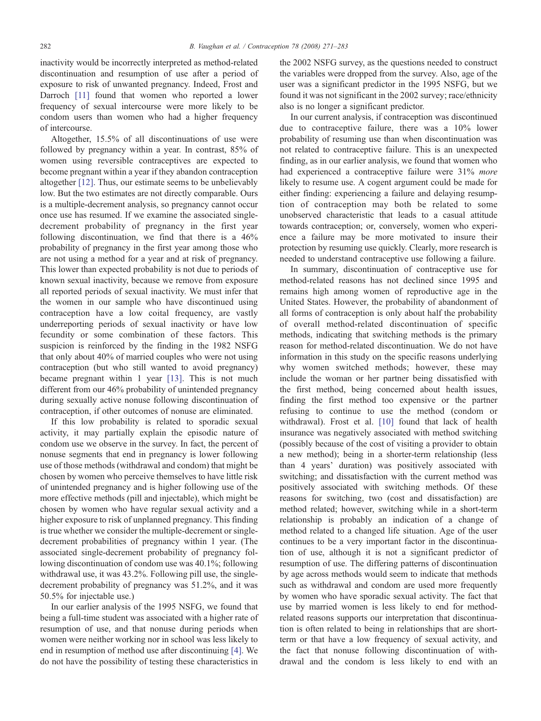inactivity would be incorrectly interpreted as method-related discontinuation and resumption of use after a period of exposure to risk of unwanted pregnancy. Indeed, Frost and Darroch [\[11\]](#page-12-0) found that women who reported a lower frequency of sexual intercourse were more likely to be condom users than women who had a higher frequency of intercourse.

Altogether, 15.5% of all discontinuations of use were followed by pregnancy within a year. In contrast, 85% of women using reversible contraceptives are expected to become pregnant within a year if they abandon contraception altogether [\[12\]](#page-12-0). Thus, our estimate seems to be unbelievably low. But the two estimates are not directly comparable. Ours is a multiple-decrement analysis, so pregnancy cannot occur once use has resumed. If we examine the associated singledecrement probability of pregnancy in the first year following discontinuation, we find that there is a 46% probability of pregnancy in the first year among those who are not using a method for a year and at risk of pregnancy. This lower than expected probability is not due to periods of known sexual inactivity, because we remove from exposure all reported periods of sexual inactivity. We must infer that the women in our sample who have discontinued using contraception have a low coital frequency, are vastly underreporting periods of sexual inactivity or have low fecundity or some combination of these factors. This suspicion is reinforced by the finding in the 1982 NSFG that only about 40% of married couples who were not using contraception (but who still wanted to avoid pregnancy) became pregnant within 1 year [\[13\].](#page-12-0) This is not much different from our 46% probability of unintended pregnancy during sexually active nonuse following discontinuation of contraception, if other outcomes of nonuse are eliminated.

If this low probability is related to sporadic sexual activity, it may partially explain the episodic nature of condom use we observe in the survey. In fact, the percent of nonuse segments that end in pregnancy is lower following use of those methods (withdrawal and condom) that might be chosen by women who perceive themselves to have little risk of unintended pregnancy and is higher following use of the more effective methods (pill and injectable), which might be chosen by women who have regular sexual activity and a higher exposure to risk of unplanned pregnancy. This finding is true whether we consider the multiple-decrement or singledecrement probabilities of pregnancy within 1 year. (The associated single-decrement probability of pregnancy following discontinuation of condom use was 40.1%; following withdrawal use, it was 43.2%. Following pill use, the singledecrement probability of pregnancy was 51.2%, and it was 50.5% for injectable use.)

In our earlier analysis of the 1995 NSFG, we found that being a full-time student was associated with a higher rate of resumption of use, and that nonuse during periods when women were neither working nor in school was less likely to end in resumption of method use after discontinuing [\[4\]](#page-12-0). We do not have the possibility of testing these characteristics in

the 2002 NSFG survey, as the questions needed to construct the variables were dropped from the survey. Also, age of the user was a significant predictor in the 1995 NSFG, but we found it was not significant in the 2002 survey; race/ethnicity also is no longer a significant predictor.

In our current analysis, if contraception was discontinued due to contraceptive failure, there was a 10% lower probability of resuming use than when discontinuation was not related to contraceptive failure. This is an unexpected finding, as in our earlier analysis, we found that women who had experienced a contraceptive failure were 31% more likely to resume use. A cogent argument could be made for either finding: experiencing a failure and delaying resumption of contraception may both be related to some unobserved characteristic that leads to a casual attitude towards contraception; or, conversely, women who experience a failure may be more motivated to insure their protection by resuming use quickly. Clearly, more research is needed to understand contraceptive use following a failure.

In summary, discontinuation of contraceptive use for method-related reasons has not declined since 1995 and remains high among women of reproductive age in the United States. However, the probability of abandonment of all forms of contraception is only about half the probability of overall method-related discontinuation of specific methods, indicating that switching methods is the primary reason for method-related discontinuation. We do not have information in this study on the specific reasons underlying why women switched methods; however, these may include the woman or her partner being dissatisfied with the first method, being concerned about health issues, finding the first method too expensive or the partner refusing to continue to use the method (condom or withdrawal). Frost et al. [\[10\]](#page-12-0) found that lack of health insurance was negatively associated with method switching (possibly because of the cost of visiting a provider to obtain a new method); being in a shorter-term relationship (less than 4 years' duration) was positively associated with switching; and dissatisfaction with the current method was positively associated with switching methods. Of these reasons for switching, two (cost and dissatisfaction) are method related; however, switching while in a short-term relationship is probably an indication of a change of method related to a changed life situation. Age of the user continues to be a very important factor in the discontinuation of use, although it is not a significant predictor of resumption of use. The differing patterns of discontinuation by age across methods would seem to indicate that methods such as withdrawal and condom are used more frequently by women who have sporadic sexual activity. The fact that use by married women is less likely to end for methodrelated reasons supports our interpretation that discontinuation is often related to being in relationships that are shortterm or that have a low frequency of sexual activity, and the fact that nonuse following discontinuation of withdrawal and the condom is less likely to end with an